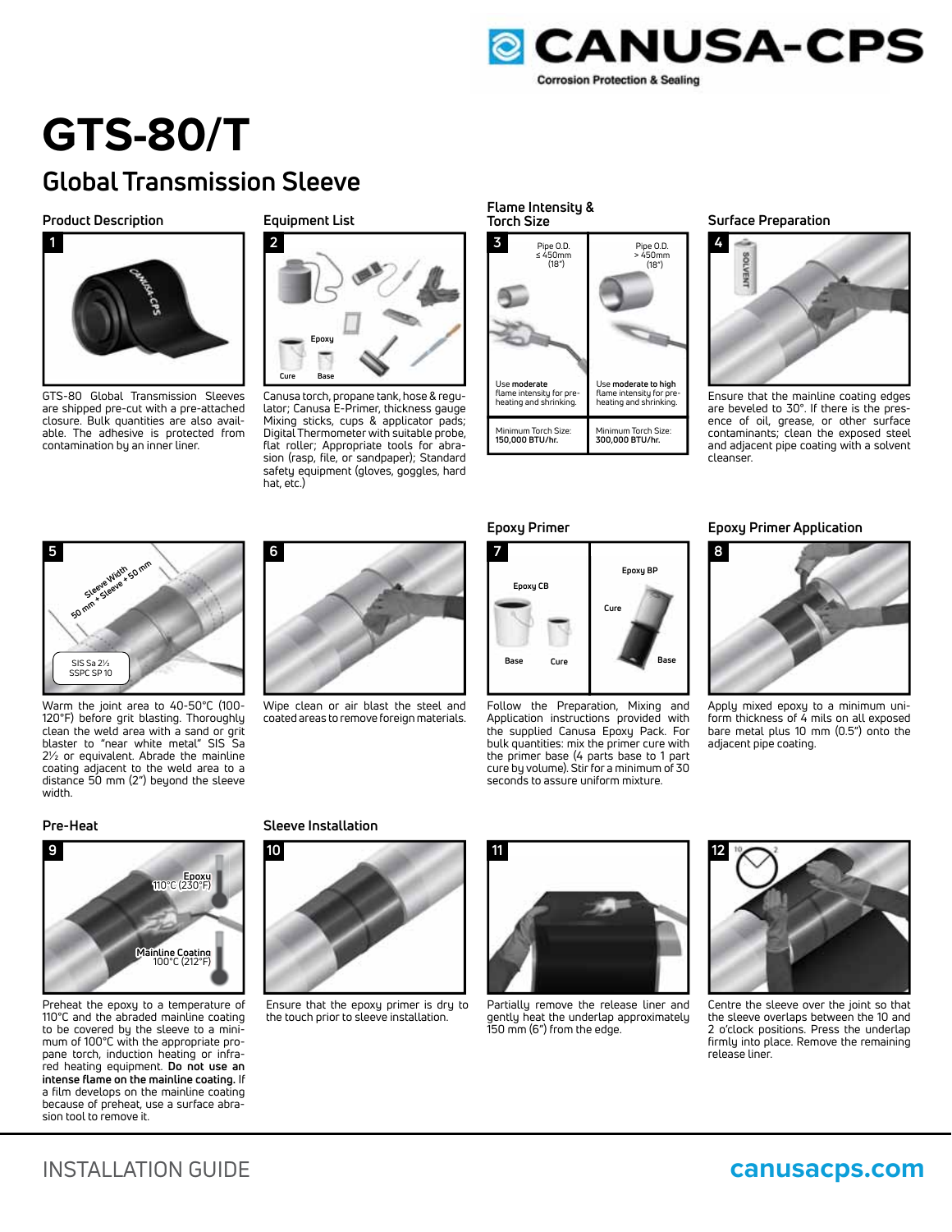

# **GTS-80/T**

# **Global Transmission Sleeve**

### **Product Description**



GTS-80 Global Transmission Sleeves are shipped pre-cut with a pre-attached closure. Bulk quantities are also available. The adhesive is protected from contamination by an inner liner.

### **Equipment List**



Canusa torch, propane tank, hose & regulator; Canusa E-Primer, thickness gauge Mixing sticks, cups & applicator pads; Digital Thermometer with suitable probe, flat roller; Appropriate tools for abrasion (rasp, file, or sandpaper); Standard safety equipment (gloves, goggles, hard hat, etc.)

### **Flame Intensity & Torch Size**



### **Surface Preparation**



Ensure that the mainline coating edges are beveled to 30°. If there is the presence of oil, grease, or other surface contaminants; clean the exposed steel and adjacent pipe coating with a solvent cleanser.



Warm the joint area to 40-50°C (100- 120°F) before grit blasting. Thoroughly clean the weld area with a sand or grit blaster to "near white metal" SIS Sa 2½ or equivalent. Abrade the mainline coating adjacent to the weld area to a distance 50 mm (2") beyond the sleeve width. SIS Sa 2½<br>
SIS Sa 2½<br>
before grit blasting. Thom<br>
the weld area with a sand<br>
ir to "near white metal" s<br>
requivalent. Abrade the m<br>
g adjacent to the weld area<br>
cce 50 mm (2") beyond the<br> **Heat**<br>
Heat<br>
Heat<br>
TIO°C (230°F)



Wipe clean or air blast the steel and coated areas to remove foreign materials.





Follow the Preparation, Mixing and Application instructions provided with the supplied Canusa Epoxy Pack. For bulk quantities: mix the primer cure with the primer base (4 parts base to 1 part cure by volume). Stir for a minimum of 30 seconds to assure uniform mixture.

### **Epoxy Primer Application**



Apply mixed epoxy to a minimum uniform thickness of 4 mils on all exposed bare metal plus 10 mm (0.5") onto the adjacent pipe coating.

### **Pre-Heat**



Preheat the epoxy to a temperature of 110°C and the abraded mainline coating to be covered by the sleeve to a minimum of 100°C with the appropriate propane torch, induction heating or infrared heating equipment. **Do not use an intense flame on the mainline coating.** If a film develops on the mainline coating because of preheat, use a surface abrasion tool to remove it.

### **Sleeve Installation**



Ensure that the epoxy primer is dry to the touch prior to sleeve installation.



Partially remove the release liner and gently heat the underlap approximately 150 mm (6") from the edge.



Centre the sleeve over the joint so that the sleeve overlaps between the 10 and 2 o'clock positions. Press the underlap firmly into place. Remove the remaining release liner.

## INSTALLATION GUIDE **canusacps.com**